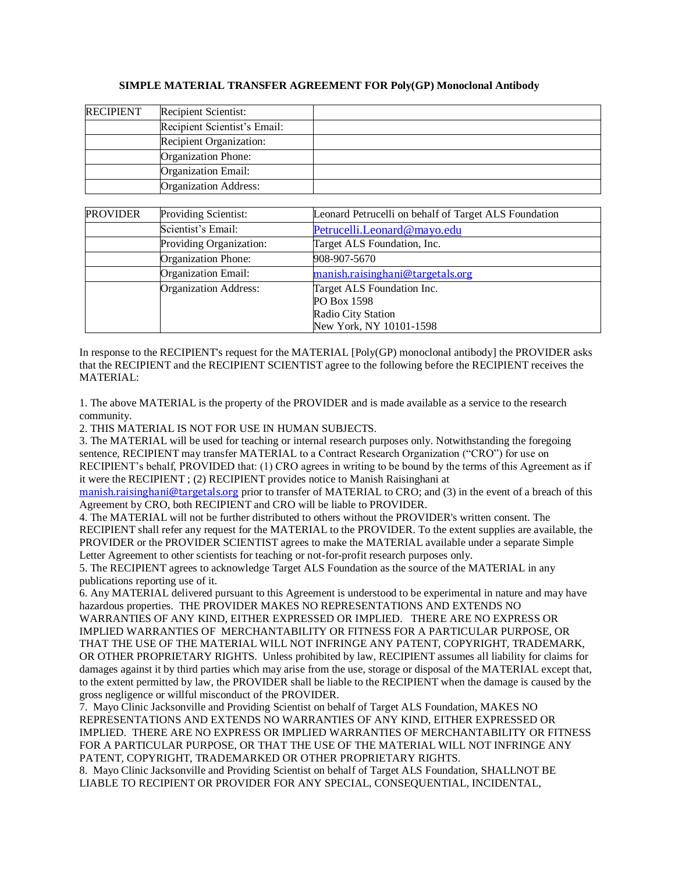## **SIMPLE MATERIAL TRANSFER AGREEMENT FOR Poly(GP) Monoclonal Antibody**

| <b>RECIPIENT</b> | Recipient Scientist:         |  |
|------------------|------------------------------|--|
|                  | Recipient Scientist's Email: |  |
|                  | Recipient Organization:      |  |
|                  | Organization Phone:          |  |
|                  | Organization Email:          |  |
|                  | Organization Address:        |  |

| <b>PROVIDER</b> | Providing Scientist:         | Leonard Petrucelli on behalf of Target ALS Foundation |  |
|-----------------|------------------------------|-------------------------------------------------------|--|
|                 | Scientist's Email:           | Petrucelli.Leonard@mayo.edu                           |  |
|                 | Providing Organization:      | Target ALS Foundation, Inc.                           |  |
|                 | Organization Phone:          | 908-907-5670                                          |  |
|                 | Organization Email:          | manish.raisinghani@targetals.org                      |  |
|                 | <b>Organization Address:</b> | Target ALS Foundation Inc.                            |  |
|                 |                              | PO Box 1598                                           |  |
|                 |                              | Radio City Station                                    |  |
|                 |                              | New York, NY 10101-1598                               |  |

In response to the RECIPIENT's request for the MATERIAL [Poly(GP) monoclonal antibody] the PROVIDER asks that the RECIPIENT and the RECIPIENT SCIENTIST agree to the following before the RECIPIENT receives the MATERIAL:

1. The above MATERIAL is the property of the PROVIDER and is made available as a service to the research community.

2. THIS MATERIAL IS NOT FOR USE IN HUMAN SUBJECTS.

3. The MATERIAL will be used for teaching or internal research purposes only. Notwithstanding the foregoing sentence, RECIPIENT may transfer MATERIAL to a Contract Research Organization ("CRO") for use on RECIPIENT's behalf, PROVIDED that: (1) CRO agrees in writing to be bound by the terms of this Agreement as if it were the RECIPIENT ; (2) RECIPIENT provides notice to Manish Raisinghani at

[manish.raisinghani@targetals.org](mailto:manish.raisinghani@targetals.org) prior to transfer of MATERIAL to CRO; and (3) in the event of a breach of this Agreement by CRO, both RECIPIENT and CRO will be liable to PROVIDER.

4. The MATERIAL will not be further distributed to others without the PROVIDER's written consent. The RECIPIENT shall refer any request for the MATERIAL to the PROVIDER. To the extent supplies are available, the PROVIDER or the PROVIDER SCIENTIST agrees to make the MATERIAL available under a separate Simple Letter Agreement to other scientists for teaching or not-for-profit research purposes only.

5. The RECIPIENT agrees to acknowledge Target ALS Foundation as the source of the MATERIAL in any publications reporting use of it.

6. Any MATERIAL delivered pursuant to this Agreement is understood to be experimental in nature and may have hazardous properties. THE PROVIDER MAKES NO REPRESENTATIONS AND EXTENDS NO

WARRANTIES OF ANY KIND, EITHER EXPRESSED OR IMPLIED. THERE ARE NO EXPRESS OR IMPLIED WARRANTIES OF MERCHANTABILITY OR FITNESS FOR A PARTICULAR PURPOSE, OR THAT THE USE OF THE MATERIAL WILL NOT INFRINGE ANY PATENT, COPYRIGHT, TRADEMARK, OR OTHER PROPRIETARY RIGHTS. Unless prohibited by law, RECIPIENT assumes all liability for claims for damages against it by third parties which may arise from the use, storage or disposal of the MATERIAL except that, to the extent permitted by law, the PROVIDER shall be liable to the RECIPIENT when the damage is caused by the gross negligence or willful misconduct of the PROVIDER.

7. Mayo Clinic Jacksonville and Providing Scientist on behalf of Target ALS Foundation, MAKES NO REPRESENTATIONS AND EXTENDS NO WARRANTIES OF ANY KIND, EITHER EXPRESSED OR IMPLIED. THERE ARE NO EXPRESS OR IMPLIED WARRANTIES OF MERCHANTABILITY OR FITNESS FOR A PARTICULAR PURPOSE, OR THAT THE USE OF THE MATERIAL WILL NOT INFRINGE ANY PATENT, COPYRIGHT, TRADEMARKED OR OTHER PROPRIETARY RIGHTS.

8. Mayo Clinic Jacksonville and Providing Scientist on behalf of Target ALS Foundation, SHALLNOT BE LIABLE TO RECIPIENT OR PROVIDER FOR ANY SPECIAL, CONSEQUENTIAL, INCIDENTAL,